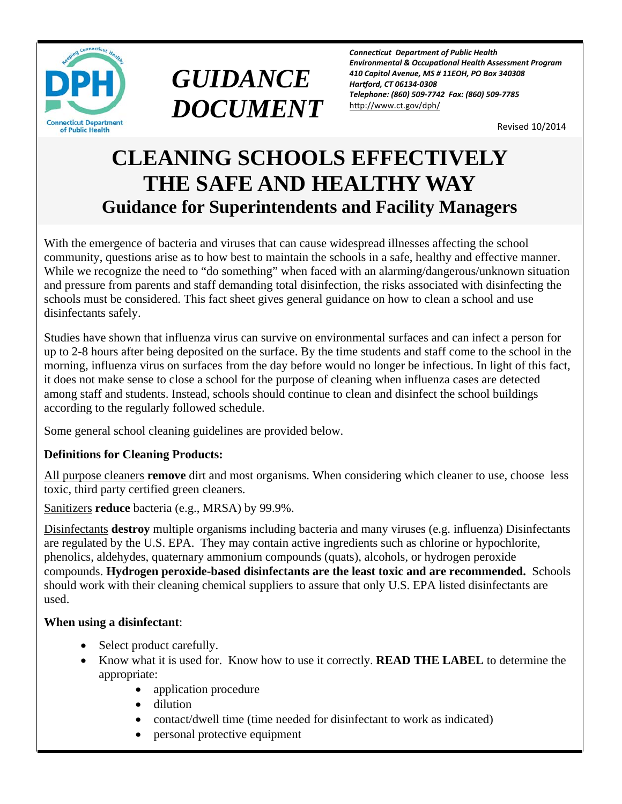



*ConnecƟcut Department of Public Health Environmental & OccupaƟonal Health Assessment Program 410 Capitol Avenue, MS # 11EOH, PO Box 340308 Harƞord, CT 06134‐0308 Telephone: (860) 509‐7742 Fax: (860) 509‐7785*  http://www.ct.gov/dph/

Revised 10/2014

# **CLEANING SCHOOLS EFFECTIVELY THE SAFE AND HEALTHY WAY Guidance for Superintendents and Facility Managers**

With the emergence of bacteria and viruses that can cause widespread illnesses affecting the school community, questions arise as to how best to maintain the schools in a safe, healthy and effective manner. While we recognize the need to "do something" when faced with an alarming/dangerous/unknown situation and pressure from parents and staff demanding total disinfection, the risks associated with disinfecting the schools must be considered. This fact sheet gives general guidance on how to clean a school and use disinfectants safely.

Studies have shown that influenza virus can survive on environmental surfaces and can infect a person for up to 2-8 hours after being deposited on the surface. By the time students and staff come to the school in the morning, influenza virus on surfaces from the day before would no longer be infectious. In light of this fact, it does not make sense to close a school for the purpose of cleaning when influenza cases are detected among staff and students. Instead, schools should continue to clean and disinfect the school buildings according to the regularly followed schedule.

Some general school cleaning guidelines are provided below.

## **Definitions for Cleaning Products:**

All purpose cleaners **remove** dirt and most organisms. When considering which cleaner to use, choose less toxic, third party certified green cleaners.

Sanitizers **reduce** bacteria (e.g., MRSA) by 99.9%.

Disinfectants **destroy** multiple organisms including bacteria and many viruses (e.g. influenza) Disinfectants are regulated by the U.S. EPA. They may contain active ingredients such as chlorine or hypochlorite, phenolics, aldehydes, quaternary ammonium compounds (quats), alcohols, or hydrogen peroxide compounds. **Hydrogen peroxide-based disinfectants are the least toxic and are recommended.** Schools should work with their cleaning chemical suppliers to assure that only U.S. EPA listed disinfectants are used.

#### **When using a disinfectant**:

- Select product carefully.
- Know what it is used for. Know how to use it correctly. **READ THE LABEL** to determine the appropriate:
	- application procedure
	- dilution
	- contact/dwell time (time needed for disinfectant to work as indicated)
	- personal protective equipment